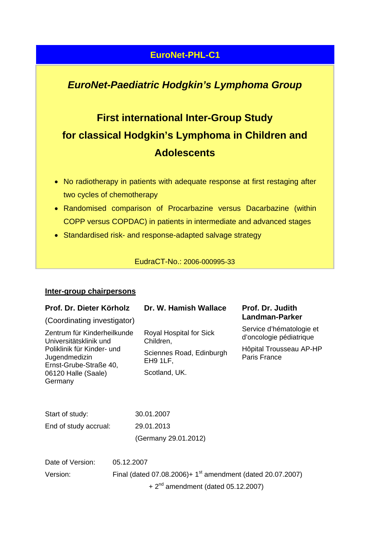## **EuroNet-PHL-C1**

# *EuroNet-Paediatric Hodgkin's Lymphoma Group*

# **First international Inter-Group Study for classical Hodgkin's Lymphoma in Children and Adolescents**

- No radiotherapy in patients with adequate response at first restaging after two cycles of chemotherapy
- Randomised comparison of Procarbazine versus Dacarbazine (within COPP versus COPDAC) in patients in intermediate and advanced stages
- Standardised risk- and response-adapted salvage strategy

EudraCT-No.: 2006-000995-33

#### **Inter-group chairpersons**

| Prof. Dr. Dieter Körholz                                                                                                                                         |            | Dr. W. Hamish Wallace                                                                         | Prof. Dr. Judith                                                                               |
|------------------------------------------------------------------------------------------------------------------------------------------------------------------|------------|-----------------------------------------------------------------------------------------------|------------------------------------------------------------------------------------------------|
| (Coordinating investigator)                                                                                                                                      |            |                                                                                               | Landman-Parker                                                                                 |
| Zentrum für Kinderheilkunde<br>Universitätsklinik und<br>Poliklinik für Kinder- und<br>Jugendmedizin<br>Ernst-Grube-Straße 40,<br>06120 Halle (Saale)<br>Germany |            | Royal Hospital for Sick<br>Children,<br>Sciennes Road, Edinburgh<br>EH9 1LF,<br>Scotland, UK. | Service d'hématologie et<br>d'oncologie pédiatrique<br>Hôpital Trousseau AP-HP<br>Paris France |
| Start of study:<br>End of study accrual:                                                                                                                         |            | 30.01.2007<br>29.01.2013<br>(Germany 29.01.2012)                                              |                                                                                                |
| Date of Version:<br>Version:                                                                                                                                     | 05.12.2007 | Final (dated 07.08.2006)+ 1 <sup>st</sup> amendment (dated 20.07.2007)                        |                                                                                                |

 $+2<sup>nd</sup>$  amendment (dated 05.12.2007)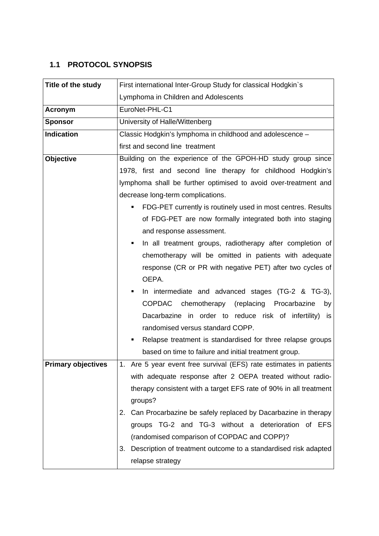### **1.1 PROTOCOL SYNOPSIS**

| Title of the study        | First international Inter-Group Study for classical Hodgkin's         |  |  |
|---------------------------|-----------------------------------------------------------------------|--|--|
|                           | Lymphoma in Children and Adolescents                                  |  |  |
| <b>Acronym</b>            | EuroNet-PHL-C1                                                        |  |  |
| <b>Sponsor</b>            | University of Halle/Wittenberg                                        |  |  |
| <b>Indication</b>         | Classic Hodgkin's lymphoma in childhood and adolescence -             |  |  |
|                           | first and second line treatment                                       |  |  |
| <b>Objective</b>          | Building on the experience of the GPOH-HD study group since           |  |  |
|                           | 1978, first and second line therapy for childhood Hodgkin's           |  |  |
|                           | lymphoma shall be further optimised to avoid over-treatment and       |  |  |
|                           | decrease long-term complications.                                     |  |  |
|                           | FDG-PET currently is routinely used in most centres. Results          |  |  |
|                           | of FDG-PET are now formally integrated both into staging              |  |  |
|                           | and response assessment.                                              |  |  |
|                           | In all treatment groups, radiotherapy after completion of             |  |  |
|                           | chemotherapy will be omitted in patients with adequate                |  |  |
|                           | response (CR or PR with negative PET) after two cycles of             |  |  |
|                           | OEPA.                                                                 |  |  |
|                           | In intermediate and advanced stages (TG-2 & TG-3),<br>٠               |  |  |
|                           | COPDAC chemotherapy (replacing Procarbazine<br>by                     |  |  |
|                           | Dacarbazine in order to reduce risk of infertility) is                |  |  |
|                           | randomised versus standard COPP.                                      |  |  |
|                           | Relapse treatment is standardised for three relapse groups<br>٠       |  |  |
|                           | based on time to failure and initial treatment group.                 |  |  |
| <b>Primary objectives</b> | Are 5 year event free survival (EFS) rate estimates in patients<br>1. |  |  |
|                           | with adequate response after 2 OEPA treated without radio-            |  |  |
|                           | therapy consistent with a target EFS rate of 90% in all treatment     |  |  |
|                           | groups?                                                               |  |  |
|                           | 2. Can Procarbazine be safely replaced by Dacarbazine in therapy      |  |  |
|                           | groups TG-2 and TG-3 without a deterioration of EFS                   |  |  |
|                           | (randomised comparison of COPDAC and COPP)?                           |  |  |
|                           | Description of treatment outcome to a standardised risk adapted<br>3. |  |  |
|                           | relapse strategy                                                      |  |  |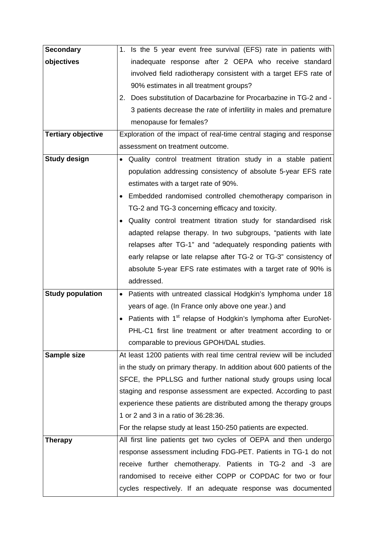| <b>Secondary</b>          | 1. Is the 5 year event free survival (EFS) rate in patients with           |  |
|---------------------------|----------------------------------------------------------------------------|--|
| objectives                | inadequate response after 2 OEPA who receive standard                      |  |
|                           | involved field radiotherapy consistent with a target EFS rate of           |  |
|                           | 90% estimates in all treatment groups?                                     |  |
|                           | 2. Does substitution of Dacarbazine for Procarbazine in TG-2 and -         |  |
|                           | 3 patients decrease the rate of infertility in males and premature         |  |
|                           | menopause for females?                                                     |  |
| <b>Tertiary objective</b> | Exploration of the impact of real-time central staging and response        |  |
|                           | assessment on treatment outcome.                                           |  |
| <b>Study design</b>       | . Quality control treatment titration study in a stable patient            |  |
|                           | population addressing consistency of absolute 5-year EFS rate              |  |
|                           | estimates with a target rate of 90%.                                       |  |
|                           | Embedded randomised controlled chemotherapy comparison in                  |  |
|                           | TG-2 and TG-3 concerning efficacy and toxicity.                            |  |
|                           | Quality control treatment titration study for standardised risk            |  |
|                           | adapted relapse therapy. In two subgroups, "patients with late             |  |
|                           | relapses after TG-1" and "adequately responding patients with              |  |
|                           | early relapse or late relapse after TG-2 or TG-3" consistency of           |  |
|                           | absolute 5-year EFS rate estimates with a target rate of 90% is            |  |
|                           | addressed.                                                                 |  |
| <b>Study population</b>   | • Patients with untreated classical Hodgkin's lymphoma under 18            |  |
|                           | years of age. (In France only above one year.) and                         |  |
|                           | Patients with 1 <sup>st</sup> relapse of Hodgkin's lymphoma after EuroNet- |  |
|                           | PHL-C1 first line treatment or after treatment according to or             |  |
|                           | comparable to previous GPOH/DAL studies.                                   |  |
| Sample size               | At least 1200 patients with real time central review will be included      |  |
|                           | in the study on primary therapy. In addition about 600 patients of the     |  |
|                           | SFCE, the PPLLSG and further national study groups using local             |  |
|                           | staging and response assessment are expected. According to past            |  |
|                           | experience these patients are distributed among the therapy groups         |  |
|                           | 1 or 2 and 3 in a ratio of 36:28:36.                                       |  |
|                           | For the relapse study at least 150-250 patients are expected.              |  |
| Therapy                   | All first line patients get two cycles of OEPA and then undergo            |  |
|                           | response assessment including FDG-PET. Patients in TG-1 do not             |  |
|                           | receive further chemotherapy. Patients in TG-2 and -3 are                  |  |
|                           | randomised to receive either COPP or COPDAC for two or four                |  |
|                           | cycles respectively. If an adequate response was documented                |  |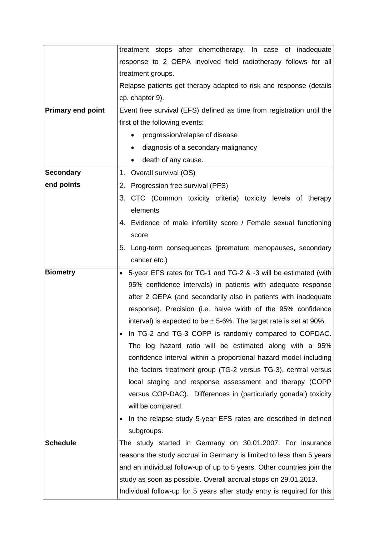|                          | treatment stops after chemotherapy. In case of inadequate               |  |  |
|--------------------------|-------------------------------------------------------------------------|--|--|
|                          | response to 2 OEPA involved field radiotherapy follows for all          |  |  |
|                          | treatment groups.                                                       |  |  |
|                          | Relapse patients get therapy adapted to risk and response (details      |  |  |
|                          | cp. chapter 9).                                                         |  |  |
| <b>Primary end point</b> | Event free survival (EFS) defined as time from registration until the   |  |  |
|                          | first of the following events:                                          |  |  |
|                          | progression/relapse of disease                                          |  |  |
|                          | diagnosis of a secondary malignancy                                     |  |  |
|                          | death of any cause.                                                     |  |  |
| <b>Secondary</b>         | 1. Overall survival (OS)                                                |  |  |
| end points               | 2. Progression free survival (PFS)                                      |  |  |
|                          | 3. CTC (Common toxicity criteria) toxicity levels of therapy            |  |  |
|                          | elements                                                                |  |  |
|                          | 4. Evidence of male infertility score / Female sexual functioning       |  |  |
|                          | score                                                                   |  |  |
|                          | 5. Long-term consequences (premature menopauses, secondary              |  |  |
|                          | cancer etc.)                                                            |  |  |
| <b>Biometry</b>          | • 5-year EFS rates for TG-1 and TG-2 & -3 will be estimated (with       |  |  |
|                          | 95% confidence intervals) in patients with adequate response            |  |  |
|                          | after 2 OEPA (and secondarily also in patients with inadequate          |  |  |
|                          | response). Precision (i.e. halve width of the 95% confidence            |  |  |
|                          | interval) is expected to be $\pm$ 5-6%. The target rate is set at 90%.  |  |  |
|                          | In TG-2 and TG-3 COPP is randomly compared to COPDAC.                   |  |  |
|                          | The log hazard ratio will be estimated along with a 95%                 |  |  |
|                          | confidence interval within a proportional hazard model including        |  |  |
|                          | the factors treatment group (TG-2 versus TG-3), central versus          |  |  |
|                          | local staging and response assessment and therapy (COPP                 |  |  |
|                          | versus COP-DAC). Differences in (particularly gonadal) toxicity         |  |  |
|                          | will be compared.                                                       |  |  |
|                          | In the relapse study 5-year EFS rates are described in defined          |  |  |
|                          | subgroups.                                                              |  |  |
| <b>Schedule</b>          | The study started in Germany on 30.01.2007. For insurance               |  |  |
|                          | reasons the study accrual in Germany is limited to less than 5 years    |  |  |
|                          | and an individual follow-up of up to 5 years. Other countries join the  |  |  |
|                          | study as soon as possible. Overall accrual stops on 29.01.2013.         |  |  |
|                          | Individual follow-up for 5 years after study entry is required for this |  |  |